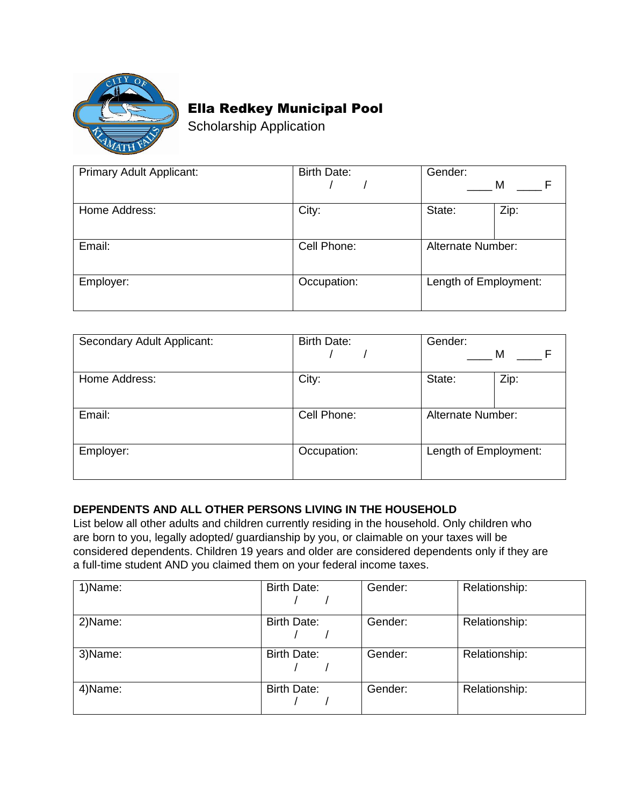

## Ella Redkey Municipal Pool

Scholarship Application

| Primary Adult Applicant: | <b>Birth Date:</b> | Gender:<br>M          |
|--------------------------|--------------------|-----------------------|
| Home Address:            | City:              | Zip:<br>State:        |
| Email:                   | Cell Phone:        | Alternate Number:     |
| Employer:                | Occupation:        | Length of Employment: |

| Secondary Adult Applicant: | <b>Birth Date:</b> | Gender:<br>M          |
|----------------------------|--------------------|-----------------------|
| Home Address:              | City:              | Zip:<br>State:        |
| Email:                     | Cell Phone:        | Alternate Number:     |
| Employer:                  | Occupation:        | Length of Employment: |

## **DEPENDENTS AND ALL OTHER PERSONS LIVING IN THE HOUSEHOLD**

List below all other adults and children currently residing in the household. Only children who are born to you, legally adopted/ guardianship by you, or claimable on your taxes will be considered dependents. Children 19 years and older are considered dependents only if they are a full-time student AND you claimed them on your federal income taxes.

| 1)Name: | <b>Birth Date:</b> | Gender: | Relationship: |
|---------|--------------------|---------|---------------|
| 2)Name: | <b>Birth Date:</b> | Gender: | Relationship: |
| 3)Name: | <b>Birth Date:</b> | Gender: | Relationship: |
| 4)Name: | <b>Birth Date:</b> | Gender: | Relationship: |